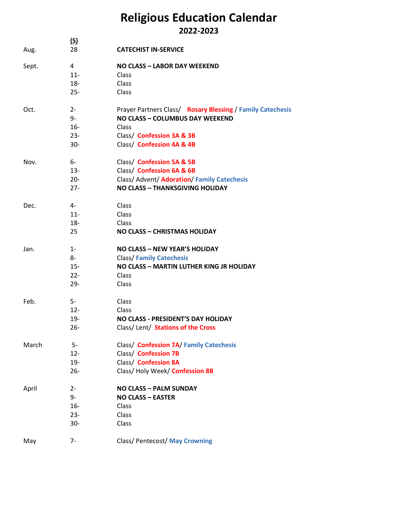## **Religious Education Calendar 2022-2023**

| Aug.  | <u>(S)</u><br>28 | <b>CATECHIST IN-SERVICE</b>                                |  |  |
|-------|------------------|------------------------------------------------------------|--|--|
| Sept. | 4                | <b>NO CLASS - LABOR DAY WEEKEND</b>                        |  |  |
|       | $11 -$           | Class                                                      |  |  |
|       | $18 -$           | Class                                                      |  |  |
|       | $25 -$           | Class                                                      |  |  |
| Oct.  | $2 -$            | Prayer Partners Class/ Rosary Blessing / Family Catechesis |  |  |
|       | 9-               | NO CLASS - COLUMBUS DAY WEEKEND                            |  |  |
|       | $16-$            | Class                                                      |  |  |
|       | $23 -$           | Class/ Confession 3A & 3B                                  |  |  |
|       | $30 -$           | Class/ Confession 4A & 4B                                  |  |  |
| Nov.  | 6-               | Class/ Confession 5A & 5B                                  |  |  |
|       | $13 -$           | Class/ Confession 6A & 6B                                  |  |  |
|       | $20 -$           | Class/ Advent/ Adoration/ Family Catechesis                |  |  |
|       | $27 -$           | <b>NO CLASS - THANKSGIVING HOLIDAY</b>                     |  |  |
| Dec.  | 4-               | Class                                                      |  |  |
|       | $11 -$           | Class                                                      |  |  |
|       | $18 -$           | Class                                                      |  |  |
|       | 25               | <b>NO CLASS - CHRISTMAS HOLIDAY</b>                        |  |  |
| Jan.  | $1 -$            | <b>NO CLASS - NEW YEAR'S HOLIDAY</b>                       |  |  |
|       | 8-               | <b>Class/Family Catechesis</b>                             |  |  |
|       | $15 -$           | NO CLASS - MARTIN LUTHER KING JR HOLIDAY                   |  |  |
|       | $22 -$           | Class                                                      |  |  |
|       | $29 -$           | Class                                                      |  |  |
| Feb.  | $5-$             | Class                                                      |  |  |
|       | $12 -$           | Class                                                      |  |  |
|       | $19 -$           | NO CLASS - PRESIDENT'S DAY HOLIDAY                         |  |  |
|       | $26 -$           | Class/Lent/ Stations of the Cross                          |  |  |
| March | $5-$             | Class/ Confession 7A/ Family Catechesis                    |  |  |
|       | $12 -$           | Class/ Confession 7B                                       |  |  |
|       | $19 -$           | Class/ Confession 8A                                       |  |  |
|       | $26 -$           | Class/Holy Week/Confession 8B                              |  |  |
| April | $2 -$            | <b>NO CLASS - PALM SUNDAY</b>                              |  |  |
|       | 9-               | <b>NO CLASS - EASTER</b>                                   |  |  |
|       | $16 -$           | Class                                                      |  |  |
|       | $23 -$           | Class                                                      |  |  |
|       | $30-$            | Class                                                      |  |  |
| May   | $7-$             | Class/ Pentecost/ May Crowning                             |  |  |
|       |                  |                                                            |  |  |